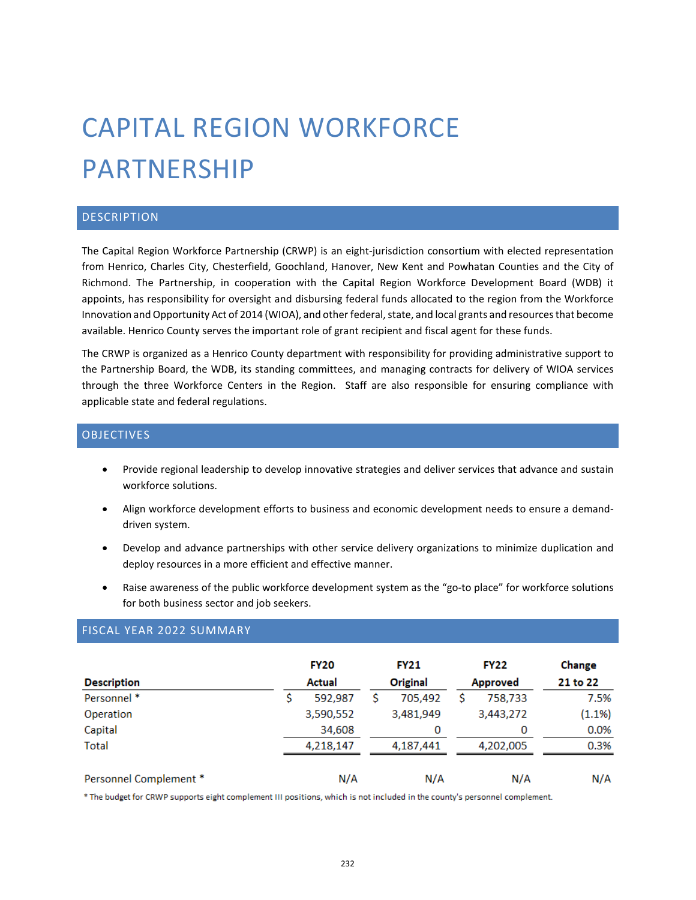# CAPITAL REGION WORKFORCE PARTNERSHIP

# DESCRIPTION

The Capital Region Workforce Partnership (CRWP) is an eight-jurisdiction consortium with elected representation from Henrico, Charles City, Chesterfield, Goochland, Hanover, New Kent and Powhatan Counties and the City of Richmond. The Partnership, in cooperation with the Capital Region Workforce Development Board (WDB) it appoints, has responsibility for oversight and disbursing federal funds allocated to the region from the Workforce Innovation and Opportunity Act of 2014 (WIOA), and other federal, state, and local grants and resources that become available. Henrico County serves the important role of grant recipient and fiscal agent for these funds.

The CRWP is organized as a Henrico County department with responsibility for providing administrative support to the Partnership Board, the WDB, its standing committees, and managing contracts for delivery of WIOA services through the three Workforce Centers in the Region. Staff are also responsible for ensuring compliance with applicable state and federal regulations.

### **OBJECTIVES**

- Provide regional leadership to develop innovative strategies and deliver services that advance and sustain workforce solutions.
- Align workforce development efforts to business and economic development needs to ensure a demanddriven system.
- Develop and advance partnerships with other service delivery organizations to minimize duplication and deploy resources in a more efficient and effective manner.
- Raise awareness of the public workforce development system as the "go-to place" for workforce solutions for both business sector and job seekers.

|                        | <b>FY20</b>   | <b>FY21</b>     | <b>FY22</b>     | Change    |
|------------------------|---------------|-----------------|-----------------|-----------|
| <b>Description</b>     | <b>Actual</b> | <b>Original</b> | <b>Approved</b> | 21 to 22  |
| Personnel *            | 592,987       | 705,492         | 758,733         | 7.5%      |
| Operation              | 3,590,552     | 3,481,949       | 3,443,272       | $(1.1\%)$ |
| Capital                | 34,608        | 0               | 0               | 0.0%      |
| <b>Total</b>           | 4,218,147     | 4,187,441       | 4,202,005       | 0.3%      |
| Personnel Complement * | N/A           | N/A             | N/A             | N/A       |

# FISCAL YEAR 2022 SUMMARY

\* The budget for CRWP supports eight complement III positions, which is not included in the county's personnel complement.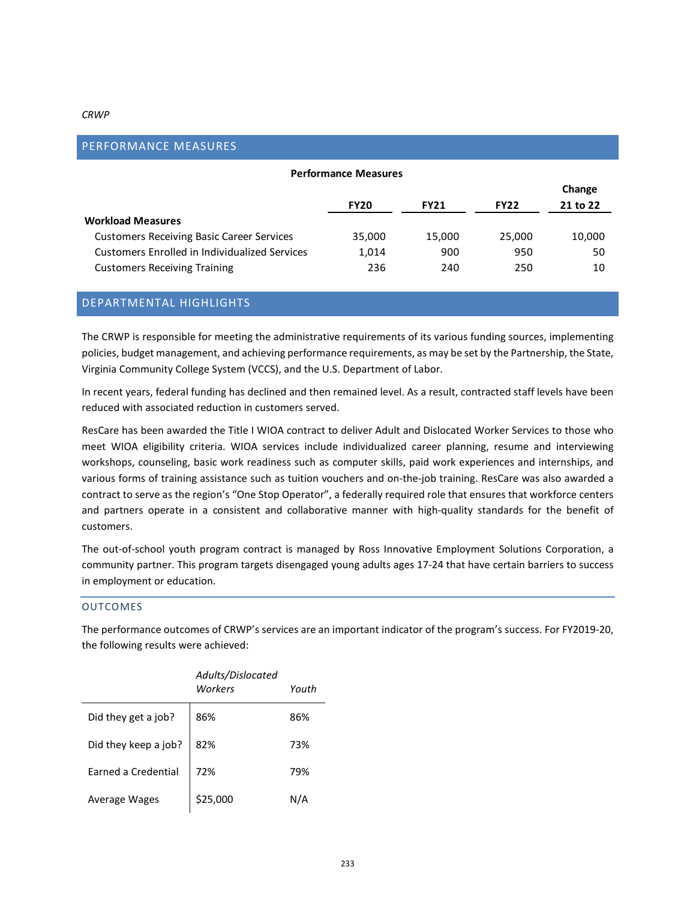#### *CRWP*

| <b>FLAFUNIMINUL IVILASUNLS</b>                   |             |             |             |          |  |
|--------------------------------------------------|-------------|-------------|-------------|----------|--|
| <b>Performance Measures</b>                      |             |             |             |          |  |
|                                                  |             |             |             |          |  |
|                                                  | <b>FY20</b> | <b>FY21</b> | <b>FY22</b> | 21 to 22 |  |
| <b>Workload Measures</b>                         |             |             |             |          |  |
| <b>Customers Receiving Basic Career Services</b> | 35,000      | 15,000      | 25,000      | 10,000   |  |
| Customers Enrolled in Individualized Services    | 1,014       | 900         | 950         | 50       |  |
| <b>Customers Receiving Training</b>              | 236         | 240         | 250         | 10       |  |
|                                                  |             |             |             |          |  |

## DEPARTMENTAL HIGHLIGHTS

PERFORMANCE MEASURES

The CRWP is responsible for meeting the administrative requirements of its various funding sources, implementing policies, budget management, and achieving performance requirements, as may be set by the Partnership, the State, Virginia Community College System (VCCS), and the U.S. Department of Labor.

In recent years, federal funding has declined and then remained level. As a result, contracted staff levels have been reduced with associated reduction in customers served.

ResCare has been awarded the Title I WIOA contract to deliver Adult and Dislocated Worker Services to those who meet WIOA eligibility criteria. WIOA services include individualized career planning, resume and interviewing workshops, counseling, basic work readiness such as computer skills, paid work experiences and internships, and various forms of training assistance such as tuition vouchers and on-the-job training. ResCare was also awarded a contract to serve as the region's "One Stop Operator", a federally required role that ensures that workforce centers and partners operate in a consistent and collaborative manner with high-quality standards for the benefit of customers.

The out-of-school youth program contract is managed by Ross Innovative Employment Solutions Corporation, a community partner. This program targets disengaged young adults ages 17-24 that have certain barriers to success in employment or education.

#### OUTCOMES

The performance outcomes of CRWP's services are an important indicator of the program's success. For FY2019-20, the following results were achieved:

|                      | Adults/Dislocated<br>Workers | Youth |
|----------------------|------------------------------|-------|
| Did they get a job?  | 86%                          | 86%   |
| Did they keep a job? | 82%                          | 73%   |
| Earned a Credential  | 72%                          | 79%   |
| Average Wages        | \$25,000                     | N/A   |